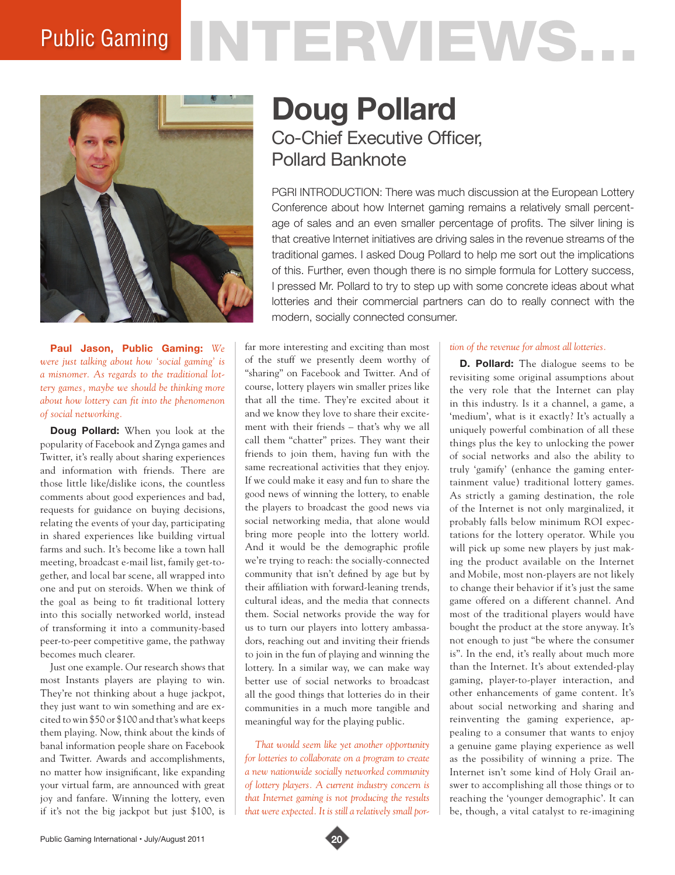# Public Gaming NTERVIEWS.



**Paul Jason, Public Gaming:** *We were just talking about how 'social gaming' is a misnomer. As regards to the traditional lottery games, maybe we should be thinking more about how lottery can fit into the phenomenon of social networking.* 

**Doug Pollard:** When you look at the popularity of Facebook and Zynga games and Twitter, it's really about sharing experiences and information with friends. There are those little like/dislike icons, the countless comments about good experiences and bad, requests for guidance on buying decisions, relating the events of your day, participating in shared experiences like building virtual farms and such. It's become like a town hall meeting, broadcast e-mail list, family get-together, and local bar scene, all wrapped into one and put on steroids. When we think of the goal as being to fit traditional lottery into this socially networked world, instead of transforming it into a community-based peer-to-peer competitive game, the pathway becomes much clearer.

Just one example. Our research shows that most Instants players are playing to win. They're not thinking about a huge jackpot, they just want to win something and are excited to win \$50 or \$100 and that's what keeps them playing. Now, think about the kinds of banal information people share on Facebook and Twitter. Awards and accomplishments, no matter how insignificant, like expanding your virtual farm, are announced with great joy and fanfare. Winning the lottery, even if it's not the big jackpot but just \$100, is

# **Doug Pollard** Co-Chief Executive Officer, Pollard Banknote

PGRI INTRODUCTION: There was much discussion at the European Lottery Conference about how Internet gaming remains a relatively small percentage of sales and an even smaller percentage of profits. The silver lining is that creative Internet initiatives are driving sales in the revenue streams of the traditional games. I asked Doug Pollard to help me sort out the implications of this. Further, even though there is no simple formula for Lottery success, I pressed Mr. Pollard to try to step up with some concrete ideas about what lotteries and their commercial partners can do to really connect with the modern, socially connected consumer.

far more interesting and exciting than most of the stuff we presently deem worthy of "sharing" on Facebook and Twitter. And of course, lottery players win smaller prizes like that all the time. They're excited about it and we know they love to share their excitement with their friends – that's why we all call them "chatter" prizes. They want their friends to join them, having fun with the same recreational activities that they enjoy. If we could make it easy and fun to share the good news of winning the lottery, to enable the players to broadcast the good news via social networking media, that alone would bring more people into the lottery world. And it would be the demographic profile we're trying to reach: the socially-connected community that isn't defined by age but by their affiliation with forward-leaning trends, cultural ideas, and the media that connects them. Social networks provide the way for us to turn our players into lottery ambassadors, reaching out and inviting their friends to join in the fun of playing and winning the lottery. In a similar way, we can make way better use of social networks to broadcast all the good things that lotteries do in their communities in a much more tangible and meaningful way for the playing public.

*That would seem like yet another opportunity for lotteries to collaborate on a program to create a new nationwide socially networked community of lottery players. A current industry concern is that Internet gaming is not producing the results that were expected. It is still a relatively small por-*

#### *tion of the revenue for almost all lotteries.*

**D. Pollard:** The dialogue seems to be revisiting some original assumptions about the very role that the Internet can play in this industry. Is it a channel, a game, a 'medium', what is it exactly? It's actually a uniquely powerful combination of all these things plus the key to unlocking the power of social networks and also the ability to truly 'gamify' (enhance the gaming entertainment value) traditional lottery games. As strictly a gaming destination, the role of the Internet is not only marginalized, it probably falls below minimum ROI expectations for the lottery operator. While you will pick up some new players by just making the product available on the Internet and Mobile, most non-players are not likely to change their behavior if it's just the same game offered on a different channel. And most of the traditional players would have bought the product at the store anyway. It's not enough to just "be where the consumer is". In the end, it's really about much more than the Internet. It's about extended-play gaming, player-to-player interaction, and other enhancements of game content. It's about social networking and sharing and reinventing the gaming experience, appealing to a consumer that wants to enjoy a genuine game playing experience as well as the possibility of winning a prize. The Internet isn't some kind of Holy Grail answer to accomplishing all those things or to reaching the 'younger demographic'. It can be, though, a vital catalyst to re-imagining

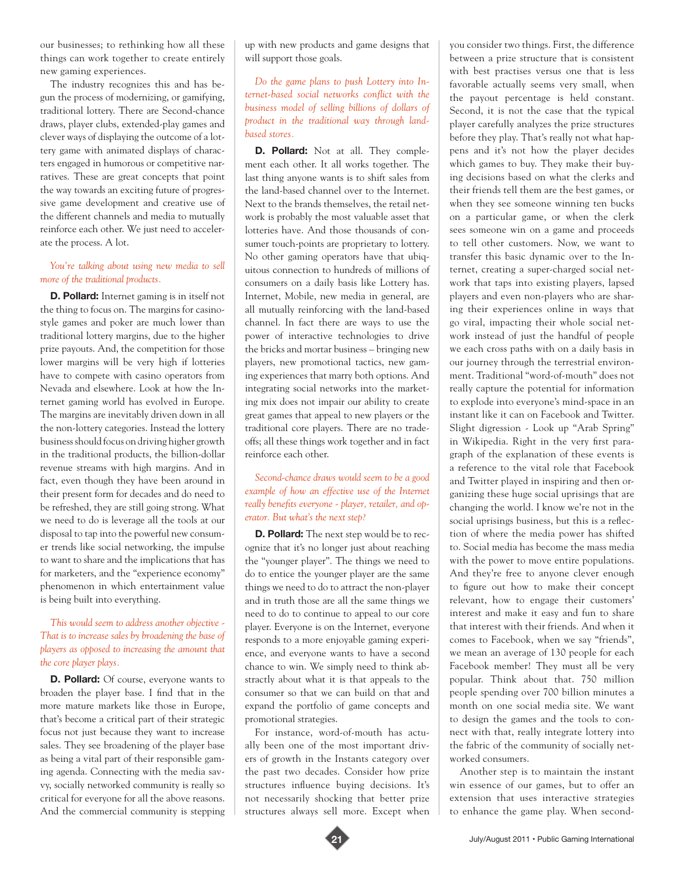our businesses; to rethinking how all these things can work together to create entirely new gaming experiences.

The industry recognizes this and has begun the process of modernizing, or gamifying, traditional lottery. There are Second-chance draws, player clubs, extended-play games and clever ways of displaying the outcome of a lottery game with animated displays of characters engaged in humorous or competitive narratives. These are great concepts that point the way towards an exciting future of progressive game development and creative use of the different channels and media to mutually reinforce each other. We just need to accelerate the process. A lot.

### *You're talking about using new media to sell more of the traditional products.*

**D. Pollard:** Internet gaming is in itself not the thing to focus on. The margins for casinostyle games and poker are much lower than traditional lottery margins, due to the higher prize payouts. And, the competition for those lower margins will be very high if lotteries have to compete with casino operators from Nevada and elsewhere. Look at how the Internet gaming world has evolved in Europe. The margins are inevitably driven down in all the non-lottery categories. Instead the lottery business should focus on driving higher growth in the traditional products, the billion-dollar revenue streams with high margins. And in fact, even though they have been around in their present form for decades and do need to be refreshed, they are still going strong. What we need to do is leverage all the tools at our disposal to tap into the powerful new consumer trends like social networking, the impulse to want to share and the implications that has for marketers, and the "experience economy" phenomenon in which entertainment value is being built into everything.

## *This would seem to address another objective - That is to increase sales by broadening the base of players as opposed to increasing the amount that the core player plays.*

**D. Pollard:** Of course, everyone wants to broaden the player base. I find that in the more mature markets like those in Europe, that's become a critical part of their strategic focus not just because they want to increase sales. They see broadening of the player base as being a vital part of their responsible gaming agenda. Connecting with the media savvy, socially networked community is really so critical for everyone for all the above reasons. And the commercial community is stepping up with new products and game designs that will support those goals.

*Do the game plans to push Lottery into Internet-based social networks conflict with the business model of selling billions of dollars of product in the traditional way through landbased stores.*

**D. Pollard:** Not at all. They complement each other. It all works together. The last thing anyone wants is to shift sales from the land-based channel over to the Internet. Next to the brands themselves, the retail network is probably the most valuable asset that lotteries have. And those thousands of consumer touch-points are proprietary to lottery. No other gaming operators have that ubiquitous connection to hundreds of millions of consumers on a daily basis like Lottery has. Internet, Mobile, new media in general, are all mutually reinforcing with the land-based channel. In fact there are ways to use the power of interactive technologies to drive the bricks and mortar business – bringing new players, new promotional tactics, new gaming experiences that marry both options. And integrating social networks into the marketing mix does not impair our ability to create great games that appeal to new players or the traditional core players. There are no tradeoffs; all these things work together and in fact reinforce each other.

*Second-chance draws would seem to be a good example of how an effective use of the Internet really benefits everyone - player, retailer, and operator. But what's the next step?* 

**D. Pollard:** The next step would be to recognize that it's no longer just about reaching the "younger player". The things we need to do to entice the younger player are the same things we need to do to attract the non-player and in truth those are all the same things we need to do to continue to appeal to our core player. Everyone is on the Internet, everyone responds to a more enjoyable gaming experience, and everyone wants to have a second chance to win. We simply need to think abstractly about what it is that appeals to the consumer so that we can build on that and expand the portfolio of game concepts and promotional strategies.

For instance, word-of-mouth has actually been one of the most important drivers of growth in the Instants category over the past two decades. Consider how prize structures influence buying decisions. It's not necessarily shocking that better prize structures always sell more. Except when

you consider two things. First, the difference between a prize structure that is consistent with best practises versus one that is less favorable actually seems very small, when the payout percentage is held constant. Second, it is not the case that the typical player carefully analyzes the prize structures before they play. That's really not what happens and it's not how the player decides which games to buy. They make their buying decisions based on what the clerks and their friends tell them are the best games, or when they see someone winning ten bucks on a particular game, or when the clerk sees someone win on a game and proceeds to tell other customers. Now, we want to transfer this basic dynamic over to the Internet, creating a super-charged social network that taps into existing players, lapsed players and even non-players who are sharing their experiences online in ways that go viral, impacting their whole social network instead of just the handful of people we each cross paths with on a daily basis in our journey through the terrestrial environment. Traditional "word-of-mouth" does not really capture the potential for information to explode into everyone's mind-space in an instant like it can on Facebook and Twitter. Slight digression - Look up "Arab Spring" in Wikipedia. Right in the very first paragraph of the explanation of these events is a reference to the vital role that Facebook and Twitter played in inspiring and then organizing these huge social uprisings that are changing the world. I know we're not in the social uprisings business, but this is a reflection of where the media power has shifted to. Social media has become the mass media with the power to move entire populations. And they're free to anyone clever enough to figure out how to make their concept relevant, how to engage their customers' interest and make it easy and fun to share that interest with their friends. And when it comes to Facebook, when we say "friends", we mean an average of 130 people for each Facebook member! They must all be very popular. Think about that. 750 million people spending over 700 billion minutes a month on one social media site. We want to design the games and the tools to connect with that, really integrate lottery into the fabric of the community of socially networked consumers.

Another step is to maintain the instant win essence of our games, but to offer an extension that uses interactive strategies to enhance the game play. When second-